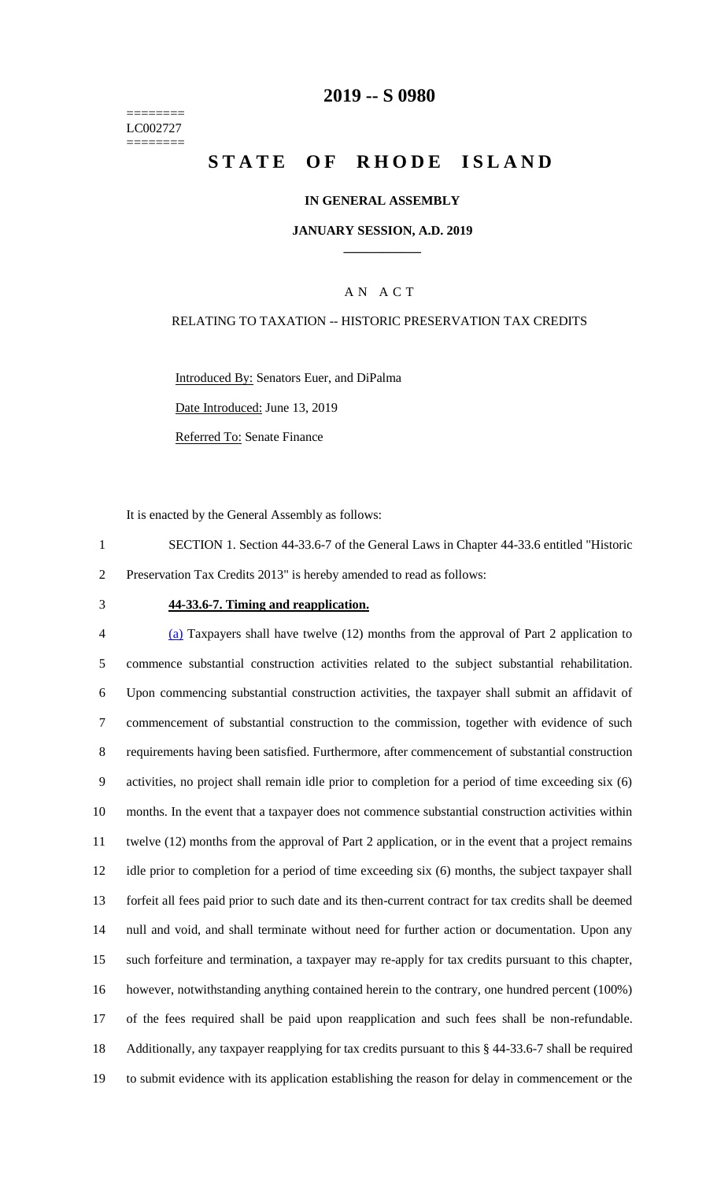======== LC002727 ========

## **-- S 0980**

# **STATE OF RHODE ISLAND**

#### **IN GENERAL ASSEMBLY**

#### **JANUARY SESSION, A.D. 2019 \_\_\_\_\_\_\_\_\_\_\_\_**

### A N A C T

#### RELATING TO TAXATION -- HISTORIC PRESERVATION TAX CREDITS

Introduced By: Senators Euer, and DiPalma

Date Introduced: June 13, 2019

Referred To: Senate Finance

It is enacted by the General Assembly as follows:

- SECTION 1. Section 44-33.6-7 of the General Laws in Chapter 44-33.6 entitled "Historic Preservation Tax Credits 2013" is hereby amended to read as follows:
- 

#### **44-33.6-7. Timing and reapplication.**

 (a) Taxpayers shall have twelve (12) months from the approval of Part 2 application to commence substantial construction activities related to the subject substantial rehabilitation. Upon commencing substantial construction activities, the taxpayer shall submit an affidavit of commencement of substantial construction to the commission, together with evidence of such requirements having been satisfied. Furthermore, after commencement of substantial construction activities, no project shall remain idle prior to completion for a period of time exceeding six (6) months. In the event that a taxpayer does not commence substantial construction activities within twelve (12) months from the approval of Part 2 application, or in the event that a project remains idle prior to completion for a period of time exceeding six (6) months, the subject taxpayer shall forfeit all fees paid prior to such date and its then-current contract for tax credits shall be deemed null and void, and shall terminate without need for further action or documentation. Upon any such forfeiture and termination, a taxpayer may re-apply for tax credits pursuant to this chapter, however, notwithstanding anything contained herein to the contrary, one hundred percent (100%) of the fees required shall be paid upon reapplication and such fees shall be non-refundable. Additionally, any taxpayer reapplying for tax credits pursuant to this § 44-33.6-7 shall be required to submit evidence with its application establishing the reason for delay in commencement or the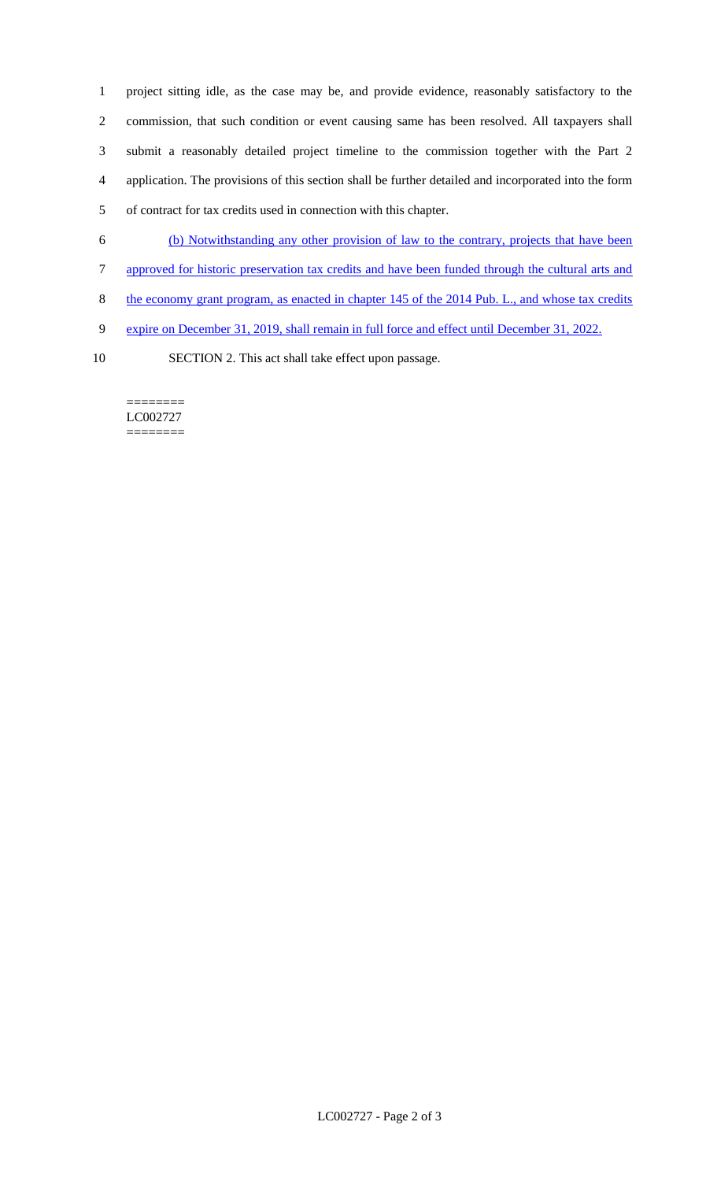project sitting idle, as the case may be, and provide evidence, reasonably satisfactory to the commission, that such condition or event causing same has been resolved. All taxpayers shall submit a reasonably detailed project timeline to the commission together with the Part 2 application. The provisions of this section shall be further detailed and incorporated into the form of contract for tax credits used in connection with this chapter.

- 6 (b) Notwithstanding any other provision of law to the contrary, projects that have been
- 7 approved for historic preservation tax credits and have been funded through the cultural arts and
- 8 the economy grant program, as enacted in chapter 145 of the 2014 Pub. L., and whose tax credits
- 9 expire on December 31, 2019, shall remain in full force and effect until December 31, 2022.
- 
- 10 SECTION 2. This act shall take effect upon passage.

======== LC002727 ========